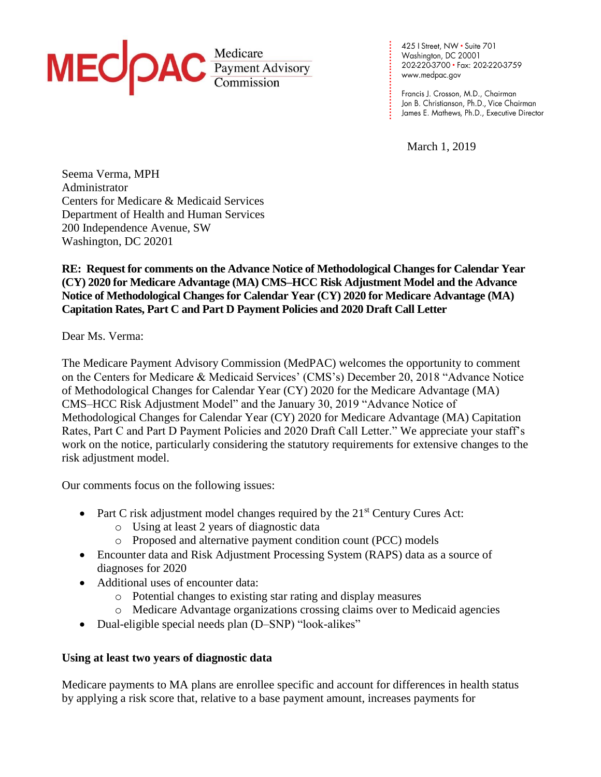

425 I Street, NW • Suite 701<br>Washington, DC 20001 202-220-3700 · Fax: 202-220-3759 www.medpac.gov

Francis J. Crosson, M.D., Chairman Jon B. Christianson, Ph.D., Vice Chairman James E. Mathews, Ph.D., Executive Director

March 1, 2019

**. . . . . . . . . . . . . . . . . . . . . . . . . . . .**

Seema Verma, MPH Administrator Centers for Medicare & Medicaid Services Department of Health and Human Services 200 Independence Avenue, SW Washington, DC 20201

**RE: Request for comments on the Advance Notice of Methodological Changes for Calendar Year (CY) 2020 for Medicare Advantage (MA) CMS–HCC Risk Adjustment Model and the Advance Notice of Methodological Changes for Calendar Year (CY) 2020 for Medicare Advantage (MA) Capitation Rates, Part C and Part D Payment Policies and 2020 Draft Call Letter**

Dear Ms. Verma:

The Medicare Payment Advisory Commission (MedPAC) welcomes the opportunity to comment on the Centers for Medicare & Medicaid Services' (CMS's) December 20, 2018 "Advance Notice of Methodological Changes for Calendar Year (CY) 2020 for the Medicare Advantage (MA) CMS–HCC Risk Adjustment Model" and the January 30, 2019 "Advance Notice of Methodological Changes for Calendar Year (CY) 2020 for Medicare Advantage (MA) Capitation Rates, Part C and Part D Payment Policies and 2020 Draft Call Letter." We appreciate your staff's work on the notice, particularly considering the statutory requirements for extensive changes to the risk adjustment model.

Our comments focus on the following issues:

- Part C risk adjustment model changes required by the  $21<sup>st</sup>$  Century Cures Act:
	- o Using at least 2 years of diagnostic data
	- o Proposed and alternative payment condition count (PCC) models
- Encounter data and Risk Adjustment Processing System (RAPS) data as a source of diagnoses for 2020
- Additional uses of encounter data:
	- o Potential changes to existing star rating and display measures
	- o Medicare Advantage organizations crossing claims over to Medicaid agencies
- Dual-eligible special needs plan (D–SNP) "look-alikes"

# **Using at least two years of diagnostic data**

Medicare payments to MA plans are enrollee specific and account for differences in health status by applying a risk score that, relative to a base payment amount, increases payments for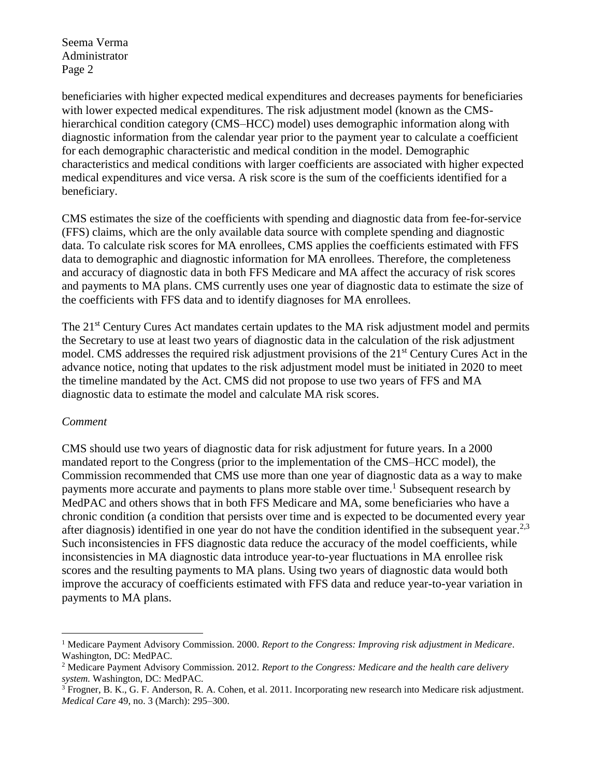beneficiaries with higher expected medical expenditures and decreases payments for beneficiaries with lower expected medical expenditures. The risk adjustment model (known as the CMShierarchical condition category (CMS–HCC) model) uses demographic information along with diagnostic information from the calendar year prior to the payment year to calculate a coefficient for each demographic characteristic and medical condition in the model. Demographic characteristics and medical conditions with larger coefficients are associated with higher expected medical expenditures and vice versa. A risk score is the sum of the coefficients identified for a beneficiary.

CMS estimates the size of the coefficients with spending and diagnostic data from fee-for-service (FFS) claims, which are the only available data source with complete spending and diagnostic data. To calculate risk scores for MA enrollees, CMS applies the coefficients estimated with FFS data to demographic and diagnostic information for MA enrollees. Therefore, the completeness and accuracy of diagnostic data in both FFS Medicare and MA affect the accuracy of risk scores and payments to MA plans. CMS currently uses one year of diagnostic data to estimate the size of the coefficients with FFS data and to identify diagnoses for MA enrollees.

The 21<sup>st</sup> Century Cures Act mandates certain updates to the MA risk adjustment model and permits the Secretary to use at least two years of diagnostic data in the calculation of the risk adjustment model. CMS addresses the required risk adjustment provisions of the 21<sup>st</sup> Century Cures Act in the advance notice, noting that updates to the risk adjustment model must be initiated in 2020 to meet the timeline mandated by the Act. CMS did not propose to use two years of FFS and MA diagnostic data to estimate the model and calculate MA risk scores.

### *Comment*

 $\overline{a}$ 

CMS should use two years of diagnostic data for risk adjustment for future years. In a 2000 mandated report to the Congress (prior to the implementation of the CMS–HCC model), the Commission recommended that CMS use more than one year of diagnostic data as a way to make payments more accurate and payments to plans more stable over time.<sup>1</sup> Subsequent research by MedPAC and others shows that in both FFS Medicare and MA, some beneficiaries who have a chronic condition (a condition that persists over time and is expected to be documented every year after diagnosis) identified in one year do not have the condition identified in the subsequent year.<sup>2,3</sup> Such inconsistencies in FFS diagnostic data reduce the accuracy of the model coefficients, while inconsistencies in MA diagnostic data introduce year-to-year fluctuations in MA enrollee risk scores and the resulting payments to MA plans. Using two years of diagnostic data would both improve the accuracy of coefficients estimated with FFS data and reduce year-to-year variation in payments to MA plans.

<sup>1</sup> Medicare Payment Advisory Commission. 2000. *Report to the Congress: Improving risk adjustment in Medicare*. Washington, DC: MedPAC.

<sup>2</sup> Medicare Payment Advisory Commission. 2012. *Report to the Congress: Medicare and the health care delivery system.* Washington, DC: MedPAC.

 $3$  Frogner, B. K., G. F. Anderson, R. A. Cohen, et al. 2011. Incorporating new research into Medicare risk adjustment. *Medical Care* 49, no. 3 (March): 295–300.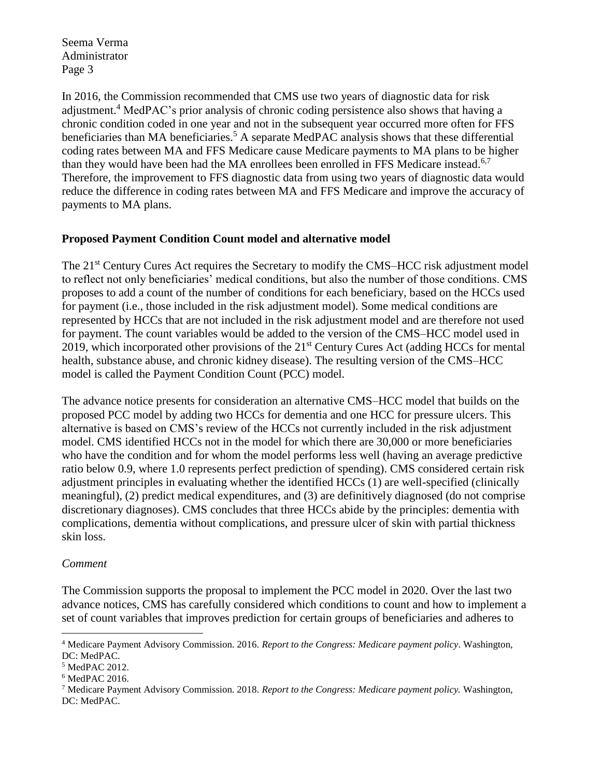In 2016, the Commission recommended that CMS use two years of diagnostic data for risk adjustment.<sup>4</sup> MedPAC's prior analysis of chronic coding persistence also shows that having a chronic condition coded in one year and not in the subsequent year occurred more often for FFS beneficiaries than MA beneficiaries.<sup>5</sup> A separate MedPAC analysis shows that these differential coding rates between MA and FFS Medicare cause Medicare payments to MA plans to be higher than they would have been had the MA enrollees been enrolled in FFS Medicare instead.<sup>6,7</sup> Therefore, the improvement to FFS diagnostic data from using two years of diagnostic data would reduce the difference in coding rates between MA and FFS Medicare and improve the accuracy of payments to MA plans.

## **Proposed Payment Condition Count model and alternative model**

The 21<sup>st</sup> Century Cures Act requires the Secretary to modify the CMS–HCC risk adjustment model to reflect not only beneficiaries' medical conditions, but also the number of those conditions. CMS proposes to add a count of the number of conditions for each beneficiary, based on the HCCs used for payment (i.e., those included in the risk adjustment model). Some medical conditions are represented by HCCs that are not included in the risk adjustment model and are therefore not used for payment. The count variables would be added to the version of the CMS–HCC model used in 2019, which incorporated other provisions of the 21<sup>st</sup> Century Cures Act (adding HCCs for mental health, substance abuse, and chronic kidney disease). The resulting version of the CMS–HCC model is called the Payment Condition Count (PCC) model.

The advance notice presents for consideration an alternative CMS–HCC model that builds on the proposed PCC model by adding two HCCs for dementia and one HCC for pressure ulcers. This alternative is based on CMS's review of the HCCs not currently included in the risk adjustment model. CMS identified HCCs not in the model for which there are 30,000 or more beneficiaries who have the condition and for whom the model performs less well (having an average predictive ratio below 0.9, where 1.0 represents perfect prediction of spending). CMS considered certain risk adjustment principles in evaluating whether the identified HCCs (1) are well-specified (clinically meaningful), (2) predict medical expenditures, and (3) are definitively diagnosed (do not comprise discretionary diagnoses). CMS concludes that three HCCs abide by the principles: dementia with complications, dementia without complications, and pressure ulcer of skin with partial thickness skin loss.

### *Comment*

 $\overline{a}$ 

The Commission supports the proposal to implement the PCC model in 2020. Over the last two advance notices, CMS has carefully considered which conditions to count and how to implement a set of count variables that improves prediction for certain groups of beneficiaries and adheres to

<sup>4</sup> Medicare Payment Advisory Commission. 2016. *Report to the Congress: Medicare payment policy*. Washington, DC: MedPAC.

<sup>5</sup> MedPAC 2012.

<sup>6</sup> MedPAC 2016.

<sup>7</sup> Medicare Payment Advisory Commission. 2018. *Report to the Congress: Medicare payment policy.* Washington, DC: MedPAC.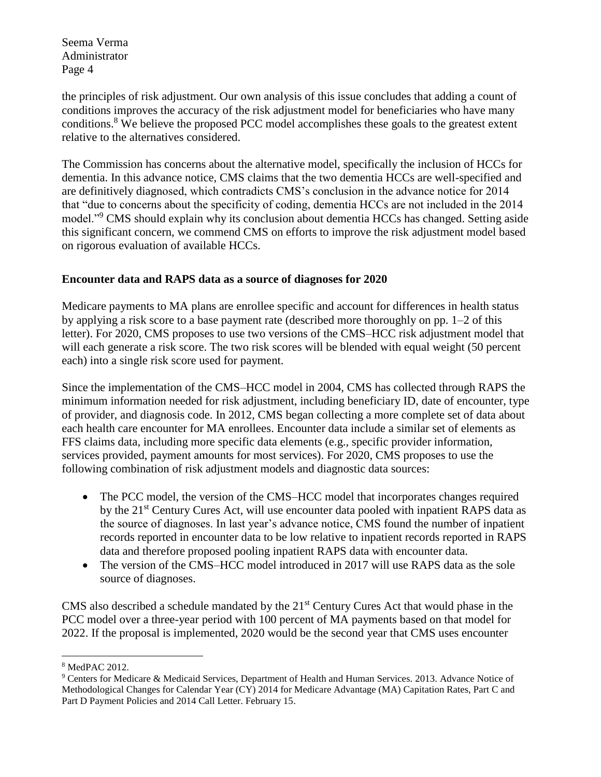the principles of risk adjustment. Our own analysis of this issue concludes that adding a count of conditions improves the accuracy of the risk adjustment model for beneficiaries who have many conditions.<sup>8</sup> We believe the proposed PCC model accomplishes these goals to the greatest extent relative to the alternatives considered.

The Commission has concerns about the alternative model, specifically the inclusion of HCCs for dementia. In this advance notice, CMS claims that the two dementia HCCs are well-specified and are definitively diagnosed, which contradicts CMS's conclusion in the advance notice for 2014 that "due to concerns about the specificity of coding, dementia HCCs are not included in the 2014 model."<sup>9</sup> CMS should explain why its conclusion about dementia HCCs has changed. Setting aside this significant concern, we commend CMS on efforts to improve the risk adjustment model based on rigorous evaluation of available HCCs.

# **Encounter data and RAPS data as a source of diagnoses for 2020**

Medicare payments to MA plans are enrollee specific and account for differences in health status by applying a risk score to a base payment rate (described more thoroughly on pp. 1–2 of this letter). For 2020, CMS proposes to use two versions of the CMS–HCC risk adjustment model that will each generate a risk score. The two risk scores will be blended with equal weight (50 percent each) into a single risk score used for payment.

Since the implementation of the CMS–HCC model in 2004, CMS has collected through RAPS the minimum information needed for risk adjustment, including beneficiary ID, date of encounter, type of provider, and diagnosis code. In 2012, CMS began collecting a more complete set of data about each health care encounter for MA enrollees. Encounter data include a similar set of elements as FFS claims data, including more specific data elements (e.g., specific provider information, services provided, payment amounts for most services). For 2020, CMS proposes to use the following combination of risk adjustment models and diagnostic data sources:

- The PCC model, the version of the CMS–HCC model that incorporates changes required by the 21<sup>st</sup> Century Cures Act, will use encounter data pooled with inpatient RAPS data as the source of diagnoses. In last year's advance notice, CMS found the number of inpatient records reported in encounter data to be low relative to inpatient records reported in RAPS data and therefore proposed pooling inpatient RAPS data with encounter data.
- The version of the CMS–HCC model introduced in 2017 will use RAPS data as the sole source of diagnoses.

CMS also described a schedule mandated by the  $21<sup>st</sup>$  Century Cures Act that would phase in the PCC model over a three-year period with 100 percent of MA payments based on that model for 2022. If the proposal is implemented, 2020 would be the second year that CMS uses encounter

 $\overline{a}$ 

<sup>8</sup> MedPAC 2012.

<sup>9</sup> Centers for Medicare & Medicaid Services, Department of Health and Human Services. 2013. Advance Notice of Methodological Changes for Calendar Year (CY) 2014 for Medicare Advantage (MA) Capitation Rates, Part C and Part D Payment Policies and 2014 Call Letter. February 15.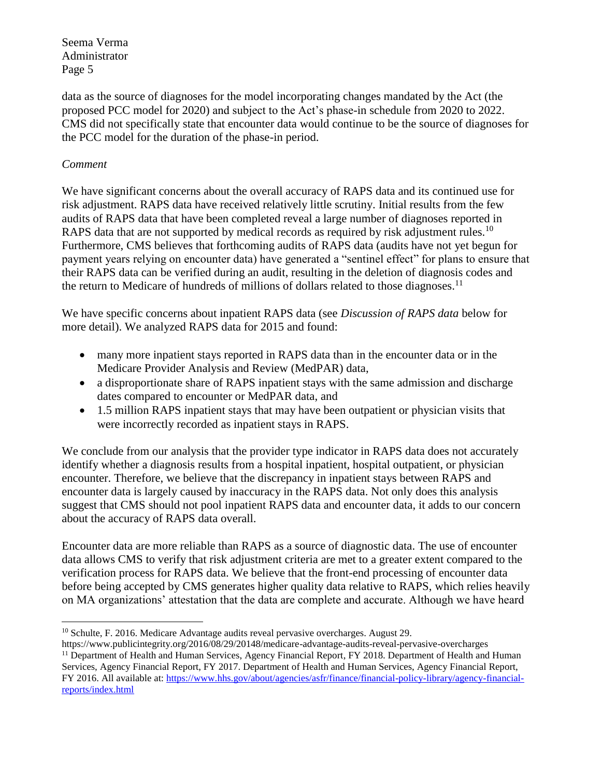data as the source of diagnoses for the model incorporating changes mandated by the Act (the proposed PCC model for 2020) and subject to the Act's phase-in schedule from 2020 to 2022. CMS did not specifically state that encounter data would continue to be the source of diagnoses for the PCC model for the duration of the phase-in period.

# *Comment*

 $\overline{a}$ 

We have significant concerns about the overall accuracy of RAPS data and its continued use for risk adjustment. RAPS data have received relatively little scrutiny. Initial results from the few audits of RAPS data that have been completed reveal a large number of diagnoses reported in RAPS data that are not supported by medical records as required by risk adjustment rules.<sup>10</sup> Furthermore, CMS believes that forthcoming audits of RAPS data (audits have not yet begun for payment years relying on encounter data) have generated a "sentinel effect" for plans to ensure that their RAPS data can be verified during an audit, resulting in the deletion of diagnosis codes and the return to Medicare of hundreds of millions of dollars related to those diagnoses.<sup>11</sup>

We have specific concerns about inpatient RAPS data (see *Discussion of RAPS data* below for more detail). We analyzed RAPS data for 2015 and found:

- many more inpatient stays reported in RAPS data than in the encounter data or in the Medicare Provider Analysis and Review (MedPAR) data,
- a disproportionate share of RAPS inpatient stays with the same admission and discharge dates compared to encounter or MedPAR data, and
- 1.5 million RAPS inpatient stays that may have been outpatient or physician visits that were incorrectly recorded as inpatient stays in RAPS.

We conclude from our analysis that the provider type indicator in RAPS data does not accurately identify whether a diagnosis results from a hospital inpatient, hospital outpatient, or physician encounter. Therefore, we believe that the discrepancy in inpatient stays between RAPS and encounter data is largely caused by inaccuracy in the RAPS data. Not only does this analysis suggest that CMS should not pool inpatient RAPS data and encounter data, it adds to our concern about the accuracy of RAPS data overall.

Encounter data are more reliable than RAPS as a source of diagnostic data. The use of encounter data allows CMS to verify that risk adjustment criteria are met to a greater extent compared to the verification process for RAPS data. We believe that the front-end processing of encounter data before being accepted by CMS generates higher quality data relative to RAPS, which relies heavily on MA organizations' attestation that the data are complete and accurate. Although we have heard

<sup>&</sup>lt;sup>10</sup> Schulte, F. 2016. Medicare Advantage audits reveal pervasive overcharges. August 29.

https://www.publicintegrity.org/2016/08/29/20148/medicare-advantage-audits-reveal-pervasive-overcharges <sup>11</sup> Department of Health and Human Services, Agency Financial Report, FY 2018. Department of Health and Human Services, Agency Financial Report, FY 2017. Department of Health and Human Services, Agency Financial Report, FY 2016. All available at: [https://www.hhs.gov/about/agencies/asfr/finance/financial-policy-library/agency-financial](https://www.hhs.gov/about/agencies/asfr/finance/financial-policy-library/agency-financial-reports/index.html)[reports/index.html](https://www.hhs.gov/about/agencies/asfr/finance/financial-policy-library/agency-financial-reports/index.html)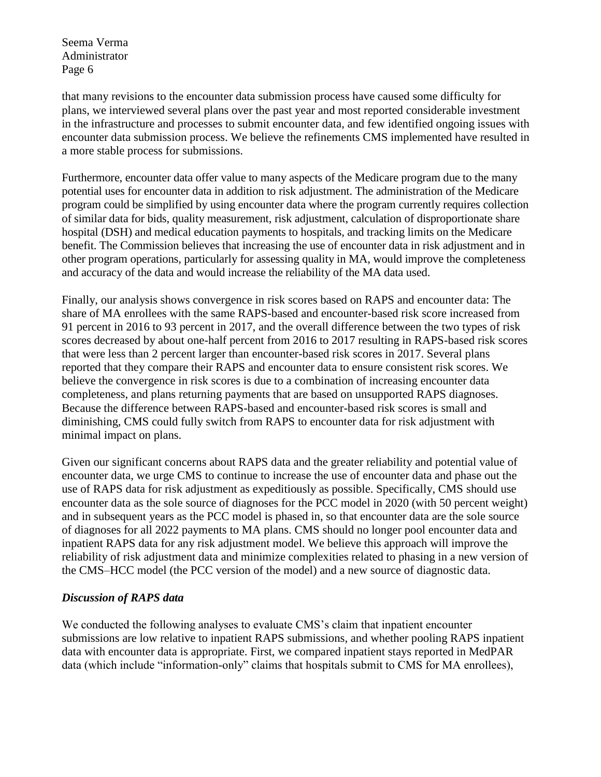that many revisions to the encounter data submission process have caused some difficulty for plans, we interviewed several plans over the past year and most reported considerable investment in the infrastructure and processes to submit encounter data, and few identified ongoing issues with encounter data submission process. We believe the refinements CMS implemented have resulted in a more stable process for submissions.

Furthermore, encounter data offer value to many aspects of the Medicare program due to the many potential uses for encounter data in addition to risk adjustment. The administration of the Medicare program could be simplified by using encounter data where the program currently requires collection of similar data for bids, quality measurement, risk adjustment, calculation of disproportionate share hospital (DSH) and medical education payments to hospitals, and tracking limits on the Medicare benefit. The Commission believes that increasing the use of encounter data in risk adjustment and in other program operations, particularly for assessing quality in MA, would improve the completeness and accuracy of the data and would increase the reliability of the MA data used.

Finally, our analysis shows convergence in risk scores based on RAPS and encounter data: The share of MA enrollees with the same RAPS-based and encounter-based risk score increased from 91 percent in 2016 to 93 percent in 2017, and the overall difference between the two types of risk scores decreased by about one-half percent from 2016 to 2017 resulting in RAPS-based risk scores that were less than 2 percent larger than encounter-based risk scores in 2017. Several plans reported that they compare their RAPS and encounter data to ensure consistent risk scores. We believe the convergence in risk scores is due to a combination of increasing encounter data completeness, and plans returning payments that are based on unsupported RAPS diagnoses. Because the difference between RAPS-based and encounter-based risk scores is small and diminishing, CMS could fully switch from RAPS to encounter data for risk adjustment with minimal impact on plans.

Given our significant concerns about RAPS data and the greater reliability and potential value of encounter data, we urge CMS to continue to increase the use of encounter data and phase out the use of RAPS data for risk adjustment as expeditiously as possible. Specifically, CMS should use encounter data as the sole source of diagnoses for the PCC model in 2020 (with 50 percent weight) and in subsequent years as the PCC model is phased in, so that encounter data are the sole source of diagnoses for all 2022 payments to MA plans. CMS should no longer pool encounter data and inpatient RAPS data for any risk adjustment model. We believe this approach will improve the reliability of risk adjustment data and minimize complexities related to phasing in a new version of the CMS–HCC model (the PCC version of the model) and a new source of diagnostic data.

### *Discussion of RAPS data*

We conducted the following analyses to evaluate CMS's claim that inpatient encounter submissions are low relative to inpatient RAPS submissions, and whether pooling RAPS inpatient data with encounter data is appropriate. First, we compared inpatient stays reported in MedPAR data (which include "information-only" claims that hospitals submit to CMS for MA enrollees),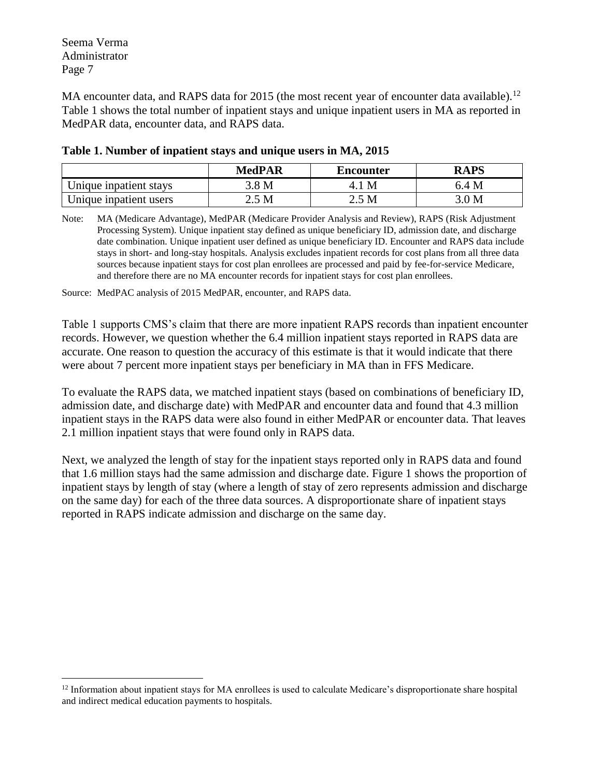$\overline{a}$ 

MA encounter data, and RAPS data for 2015 (the most recent year of encounter data available).<sup>12</sup> Table 1 shows the total number of inpatient stays and unique inpatient users in MA as reported in MedPAR data, encounter data, and RAPS data.

|                        | <b>MedPAR</b> | <b>Encounter</b> | RAPS             |
|------------------------|---------------|------------------|------------------|
| Unique inpatient stays | .8 M          | M                | 6.4 M            |
| Unique inpatient users | M             | 2.5 M            | $.0\,\mathrm{M}$ |

## **Table 1. Number of inpatient stays and unique users in MA, 2015**

Note: MA (Medicare Advantage), MedPAR (Medicare Provider Analysis and Review), RAPS (Risk Adjustment Processing System). Unique inpatient stay defined as unique beneficiary ID, admission date, and discharge date combination. Unique inpatient user defined as unique beneficiary ID. Encounter and RAPS data include stays in short- and long-stay hospitals. Analysis excludes inpatient records for cost plans from all three data sources because inpatient stays for cost plan enrollees are processed and paid by fee-for-service Medicare, and therefore there are no MA encounter records for inpatient stays for cost plan enrollees.

Source: MedPAC analysis of 2015 MedPAR, encounter, and RAPS data.

Table 1 supports CMS's claim that there are more inpatient RAPS records than inpatient encounter records. However, we question whether the 6.4 million inpatient stays reported in RAPS data are accurate. One reason to question the accuracy of this estimate is that it would indicate that there were about 7 percent more inpatient stays per beneficiary in MA than in FFS Medicare.

To evaluate the RAPS data, we matched inpatient stays (based on combinations of beneficiary ID, admission date, and discharge date) with MedPAR and encounter data and found that 4.3 million inpatient stays in the RAPS data were also found in either MedPAR or encounter data. That leaves 2.1 million inpatient stays that were found only in RAPS data.

Next, we analyzed the length of stay for the inpatient stays reported only in RAPS data and found that 1.6 million stays had the same admission and discharge date. Figure 1 shows the proportion of inpatient stays by length of stay (where a length of stay of zero represents admission and discharge on the same day) for each of the three data sources. A disproportionate share of inpatient stays reported in RAPS indicate admission and discharge on the same day.

 $12$  Information about inpatient stays for MA enrollees is used to calculate Medicare's disproportionate share hospital and indirect medical education payments to hospitals.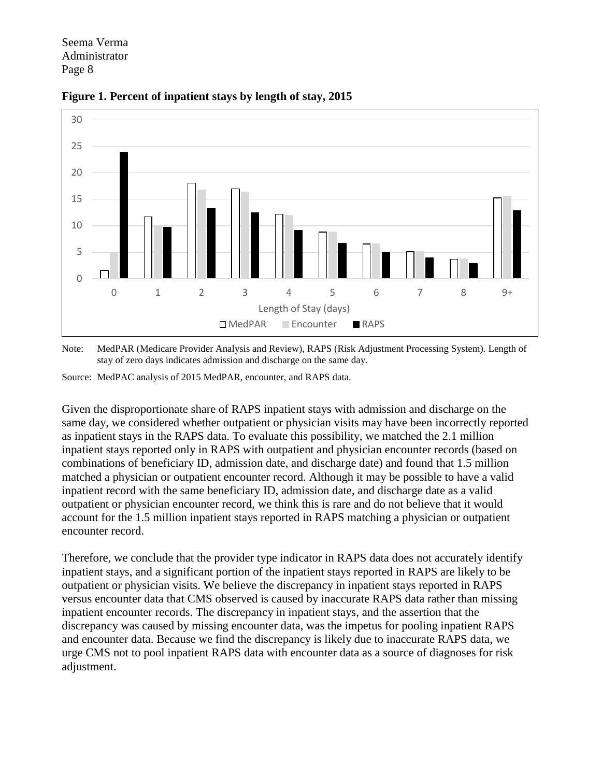



Note: MedPAR (Medicare Provider Analysis and Review), RAPS (Risk Adjustment Processing System). Length of stay of zero days indicates admission and discharge on the same day.

Source: MedPAC analysis of 2015 MedPAR, encounter, and RAPS data.

Given the disproportionate share of RAPS inpatient stays with admission and discharge on the same day, we considered whether outpatient or physician visits may have been incorrectly reported as inpatient stays in the RAPS data. To evaluate this possibility, we matched the 2.1 million inpatient stays reported only in RAPS with outpatient and physician encounter records (based on combinations of beneficiary ID, admission date, and discharge date) and found that 1.5 million matched a physician or outpatient encounter record. Although it may be possible to have a valid inpatient record with the same beneficiary ID, admission date, and discharge date as a valid outpatient or physician encounter record, we think this is rare and do not believe that it would account for the 1.5 million inpatient stays reported in RAPS matching a physician or outpatient encounter record.

Therefore, we conclude that the provider type indicator in RAPS data does not accurately identify inpatient stays, and a significant portion of the inpatient stays reported in RAPS are likely to be outpatient or physician visits. We believe the discrepancy in inpatient stays reported in RAPS versus encounter data that CMS observed is caused by inaccurate RAPS data rather than missing inpatient encounter records. The discrepancy in inpatient stays, and the assertion that the discrepancy was caused by missing encounter data, was the impetus for pooling inpatient RAPS and encounter data. Because we find the discrepancy is likely due to inaccurate RAPS data, we urge CMS not to pool inpatient RAPS data with encounter data as a source of diagnoses for risk adjustment.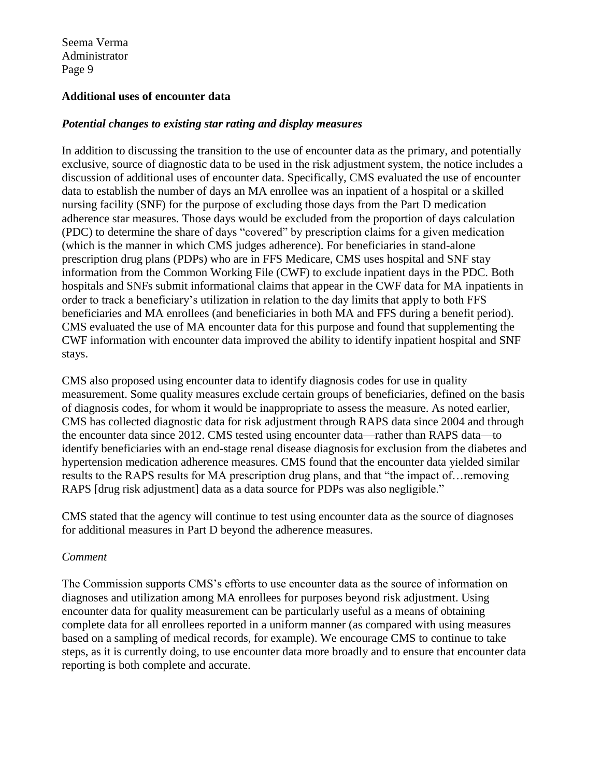## **Additional uses of encounter data**

## *Potential changes to existing star rating and display measures*

In addition to discussing the transition to the use of encounter data as the primary, and potentially exclusive, source of diagnostic data to be used in the risk adjustment system, the notice includes a discussion of additional uses of encounter data. Specifically, CMS evaluated the use of encounter data to establish the number of days an MA enrollee was an inpatient of a hospital or a skilled nursing facility (SNF) for the purpose of excluding those days from the Part D medication adherence star measures. Those days would be excluded from the proportion of days calculation (PDC) to determine the share of days "covered" by prescription claims for a given medication (which is the manner in which CMS judges adherence). For beneficiaries in stand-alone prescription drug plans (PDPs) who are in FFS Medicare, CMS uses hospital and SNF stay information from the Common Working File (CWF) to exclude inpatient days in the PDC. Both hospitals and SNFs submit informational claims that appear in the CWF data for MA inpatients in order to track a beneficiary's utilization in relation to the day limits that apply to both FFS beneficiaries and MA enrollees (and beneficiaries in both MA and FFS during a benefit period). CMS evaluated the use of MA encounter data for this purpose and found that supplementing the CWF information with encounter data improved the ability to identify inpatient hospital and SNF stays.

CMS also proposed using encounter data to identify diagnosis codes for use in quality measurement. Some quality measures exclude certain groups of beneficiaries, defined on the basis of diagnosis codes, for whom it would be inappropriate to assess the measure. As noted earlier, CMS has collected diagnostic data for risk adjustment through RAPS data since 2004 and through the encounter data since 2012. CMS tested using encounter data—rather than RAPS data—to identify beneficiaries with an end-stage renal disease diagnosisfor exclusion from the diabetes and hypertension medication adherence measures. CMS found that the encounter data yielded similar results to the RAPS results for MA prescription drug plans, and that "the impact of…removing RAPS [drug risk adjustment] data as a data source for PDPs was also negligible."

CMS stated that the agency will continue to test using encounter data as the source of diagnoses for additional measures in Part D beyond the adherence measures.

### *Comment*

The Commission supports CMS's efforts to use encounter data as the source of information on diagnoses and utilization among MA enrollees for purposes beyond risk adjustment. Using encounter data for quality measurement can be particularly useful as a means of obtaining complete data for all enrollees reported in a uniform manner (as compared with using measures based on a sampling of medical records, for example). We encourage CMS to continue to take steps, as it is currently doing, to use encounter data more broadly and to ensure that encounter data reporting is both complete and accurate.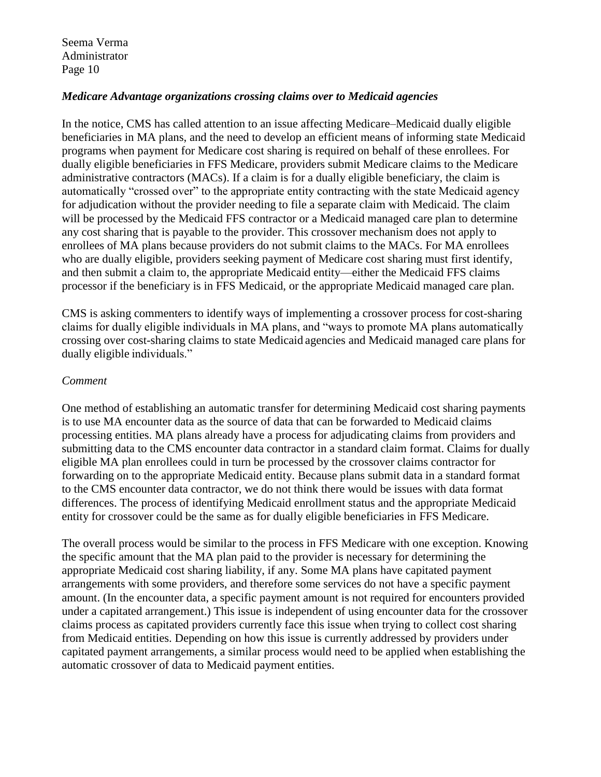## *Medicare Advantage organizations crossing claims over to Medicaid agencies*

In the notice, CMS has called attention to an issue affecting Medicare–Medicaid dually eligible beneficiaries in MA plans, and the need to develop an efficient means of informing state Medicaid programs when payment for Medicare cost sharing is required on behalf of these enrollees. For dually eligible beneficiaries in FFS Medicare, providers submit Medicare claims to the Medicare administrative contractors (MACs). If a claim is for a dually eligible beneficiary, the claim is automatically "crossed over" to the appropriate entity contracting with the state Medicaid agency for adjudication without the provider needing to file a separate claim with Medicaid. The claim will be processed by the Medicaid FFS contractor or a Medicaid managed care plan to determine any cost sharing that is payable to the provider. This crossover mechanism does not apply to enrollees of MA plans because providers do not submit claims to the MACs. For MA enrollees who are dually eligible, providers seeking payment of Medicare cost sharing must first identify, and then submit a claim to, the appropriate Medicaid entity—either the Medicaid FFS claims processor if the beneficiary is in FFS Medicaid, or the appropriate Medicaid managed care plan.

CMS is asking commenters to identify ways of implementing a crossover process for cost-sharing claims for dually eligible individuals in MA plans, and "ways to promote MA plans automatically crossing over cost-sharing claims to state Medicaid agencies and Medicaid managed care plans for dually eligible individuals."

### *Comment*

One method of establishing an automatic transfer for determining Medicaid cost sharing payments is to use MA encounter data as the source of data that can be forwarded to Medicaid claims processing entities. MA plans already have a process for adjudicating claims from providers and submitting data to the CMS encounter data contractor in a standard claim format. Claims for dually eligible MA plan enrollees could in turn be processed by the crossover claims contractor for forwarding on to the appropriate Medicaid entity. Because plans submit data in a standard format to the CMS encounter data contractor, we do not think there would be issues with data format differences. The process of identifying Medicaid enrollment status and the appropriate Medicaid entity for crossover could be the same as for dually eligible beneficiaries in FFS Medicare.

The overall process would be similar to the process in FFS Medicare with one exception. Knowing the specific amount that the MA plan paid to the provider is necessary for determining the appropriate Medicaid cost sharing liability, if any. Some MA plans have capitated payment arrangements with some providers, and therefore some services do not have a specific payment amount. (In the encounter data, a specific payment amount is not required for encounters provided under a capitated arrangement.) This issue is independent of using encounter data for the crossover claims process as capitated providers currently face this issue when trying to collect cost sharing from Medicaid entities. Depending on how this issue is currently addressed by providers under capitated payment arrangements, a similar process would need to be applied when establishing the automatic crossover of data to Medicaid payment entities.